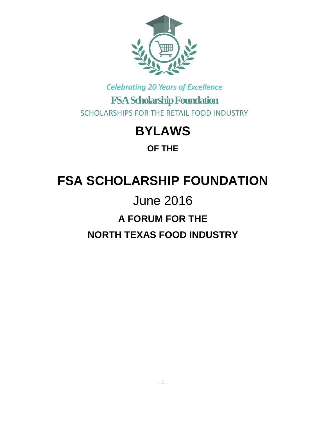

## *Celebrating 20 Years of Excellence* **FSA Scholarship Foundation** SCHOLARSHIPS FOR THE RETAIL FOOD INDUSTRY

## **BYLAWS**

**OF THE**

# **FSA SCHOLARSHIP FOUNDATION**

# June 2016 **A FORUM FOR THE NORTH TEXAS FOOD INDUSTRY**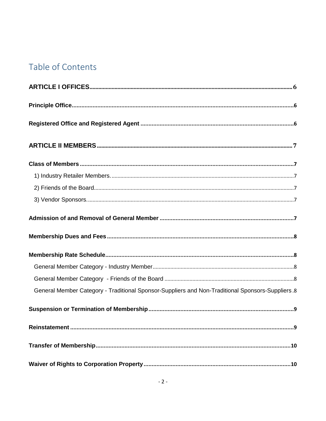## Table of Contents

| General Member Category - Traditional Sponsor-Suppliers and Non-Traditional Sponsors-Suppliers.8 |
|--------------------------------------------------------------------------------------------------|
|                                                                                                  |
|                                                                                                  |
|                                                                                                  |
|                                                                                                  |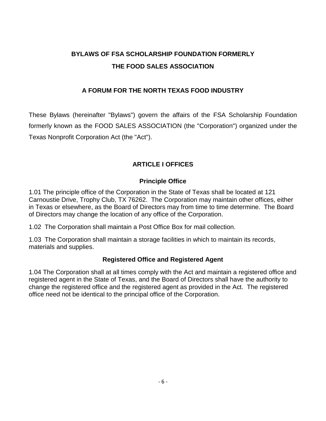### **BYLAWS OF FSA SCHOLARSHIP FOUNDATION FORMERLY THE FOOD SALES ASSOCIATION**

#### **A FORUM FOR THE NORTH TEXAS FOOD INDUSTRY**

These Bylaws (hereinafter "Bylaws") govern the affairs of the FSA Scholarship Foundation formerly known as the FOOD SALES ASSOCIATION (the "Corporation") organized under the Texas Nonprofit Corporation Act (the "Act").

#### **ARTICLE I OFFICES**

#### **Principle Office**

<span id="page-5-1"></span><span id="page-5-0"></span>1.01 The principle office of the Corporation in the State of Texas shall be located at 121 Carnoustie Drive, Trophy Club, TX 76262. The Corporation may maintain other offices, either in Texas or elsewhere, as the Board of Directors may from time to time determine. The Board of Directors may change the location of any office of the Corporation.

1.02 The Corporation shall maintain a Post Office Box for mail collection.

1.03 The Corporation shall maintain a storage facilities in which to maintain its records, materials and supplies.

#### **Registered Office and Registered Agent**

<span id="page-5-2"></span>1.04 The Corporation shall at all times comply with the Act and maintain a registered office and registered agent in the State of Texas, and the Board of Directors shall have the authority to change the registered office and the registered agent as provided in the Act. The registered office need not be identical to the principal office of the Corporation.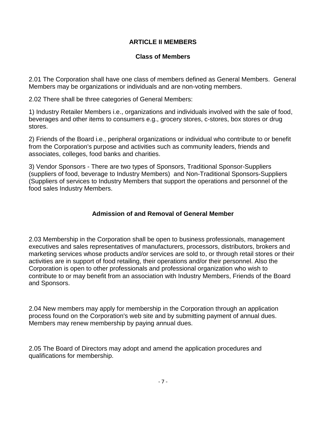#### **ARTICLE II MEMBERS**

#### **Class of Members**

<span id="page-6-1"></span><span id="page-6-0"></span>2.01 The Corporation shall have one class of members defined as General Members. General Members may be organizations or individuals and are non-voting members.

2.02 There shall be three categories of General Members:

<span id="page-6-2"></span>1) Industry Retailer Members i.e., organizations and individuals involved with the sale of food, beverages and other items to consumers e.g., grocery stores, c-stores, box stores or drug stores.

<span id="page-6-3"></span>2) Friends of the Board i.e., peripheral organizations or individual who contribute to or benefit from the Corporation's purpose and activities such as community leaders, friends and associates, colleges, food banks and charities.

<span id="page-6-4"></span>3) Vendor Sponsors - There are two types of Sponsors, Traditional Sponsor-Suppliers (suppliers of food, beverage to Industry Members) and Non-Traditional Sponsors-Suppliers (Suppliers of services to Industry Members that support the operations and personnel of the food sales Industry Members.

#### **Admission of and Removal of General Member**

<span id="page-6-5"></span>2.03 Membership in the Corporation shall be open to business professionals, management executives and sales representatives of manufacturers, processors, distributors, brokers and marketing services whose products and/or services are sold to, or through retail stores or their activities are in support of food retailing, their operations and/or their personnel. Also the Corporation is open to other professionals and professional organization who wish to contribute to or may benefit from an association with Industry Members, Friends of the Board and Sponsors.

2.04 New members may apply for membership in the Corporation through an application process found on the Corporation's web site and by submitting payment of annual dues. Members may renew membership by paying annual dues.

2.05 The Board of Directors may adopt and amend the application procedures and qualifications for membership.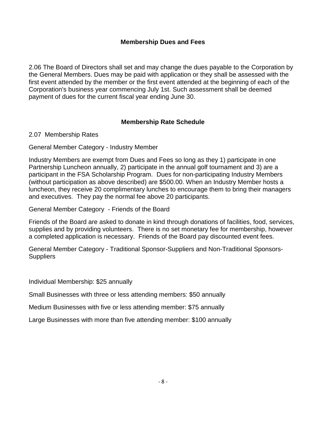#### **Membership Dues and Fees**

<span id="page-7-0"></span>2.06 The Board of Directors shall set and may change the dues payable to the Corporation by the General Members. Dues may be paid with application or they shall be assessed with the first event attended by the member or the first event attended at the beginning of each of the Corporation's business year commencing July 1st. Such assessment shall be deemed payment of dues for the current fiscal year ending June 30.

#### **Membership Rate Schedule**

<span id="page-7-1"></span>2.07 Membership Rates

<span id="page-7-2"></span>General Member Category - Industry Member

Industry Members are exempt from Dues and Fees so long as they 1) participate in one Partnership Luncheon annually, 2) participate in the annual golf tournament and 3) are a participant in the FSA Scholarship Program. Dues for non-participating Industry Members (without participation as above described) are \$500.00. When an Industry Member hosts a luncheon, they receive 20 complimentary lunches to encourage them to bring their managers and executives. They pay the normal fee above 20 participants.

<span id="page-7-3"></span>General Member Category - Friends of the Board

Friends of the Board are asked to donate in kind through donations of facilities, food, services, supplies and by providing volunteers. There is no set monetary fee for membership, however a completed application is necessary. Friends of the Board pay discounted event fees.

<span id="page-7-4"></span>General Member Category - Traditional Sponsor-Suppliers and Non-Traditional Sponsors-**Suppliers** 

Individual Membership: \$25 annually

Small Businesses with three or less attending members: \$50 annually

Medium Businesses with five or less attending member: \$75 annually

Large Businesses with more than five attending member: \$100 annually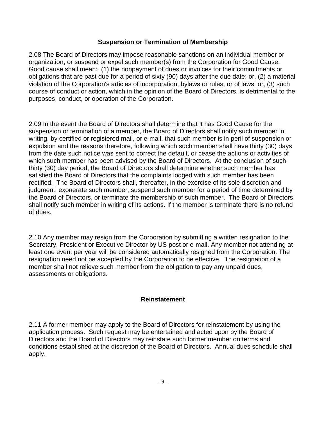#### **Suspension or Termination of Membership**

<span id="page-8-0"></span>2.08 The Board of Directors may impose reasonable sanctions on an individual member or organization, or suspend or expel such member(s) from the Corporation for Good Cause. Good cause shall mean: (1) the nonpayment of dues or invoices for their commitments or obligations that are past due for a period of sixty (90) days after the due date; or, (2) a material violation of the Corporation's articles of incorporation, bylaws or rules, or of laws; or, (3) such course of conduct or action, which in the opinion of the Board of Directors, is detrimental to the purposes, conduct, or operation of the Corporation.

2.09 In the event the Board of Directors shall determine that it has Good Cause for the suspension or termination of a member, the Board of Directors shall notify such member in writing, by certified or registered mail, or e-mail, that such member is in peril of suspension or expulsion and the reasons therefore, following which such member shall have thirty (30) days from the date such notice was sent to correct the default, or cease the actions or activities of which such member has been advised by the Board of Directors. At the conclusion of such thirty (30) day period, the Board of Directors shall determine whether such member has satisfied the Board of Directors that the complaints lodged with such member has been rectified. The Board of Directors shall, thereafter, in the exercise of its sole discretion and judgment, exonerate such member, suspend such member for a period of time determined by the Board of Directors, or terminate the membership of such member. The Board of Directors shall notify such member in writing of its actions. If the member is terminate there is no refund of dues.

2.10 Any member may resign from the Corporation by submitting a written resignation to the Secretary, President or Executive Director by US post or e-mail. Any member not attending at least one event per year will be considered automatically resigned from the Corporation. The resignation need not be accepted by the Corporation to be effective. The resignation of a member shall not relieve such member from the obligation to pay any unpaid dues, assessments or obligations.

#### **Reinstatement**

<span id="page-8-1"></span>2.11 A former member may apply to the Board of Directors for reinstatement by using the application process. Such request may be entertained and acted upon by the Board of Directors and the Board of Directors may reinstate such former member on terms and conditions established at the discretion of the Board of Directors. Annual dues schedule shall apply.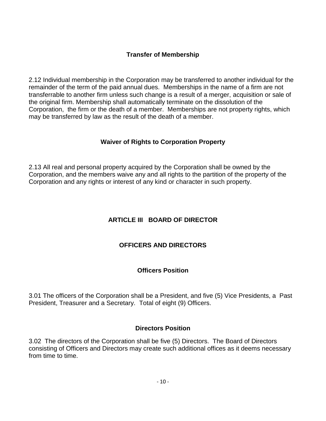#### **Transfer of Membership**

<span id="page-9-0"></span>2.12 Individual membership in the Corporation may be transferred to another individual for the remainder of the term of the paid annual dues. Memberships in the name of a firm are not transferrable to another firm unless such change is a result of a merger, acquisition or sale of the original firm. Membership shall automatically terminate on the dissolution of the Corporation, the firm or the death of a member. Memberships are not property rights, which may be transferred by law as the result of the death of a member.

#### **Waiver of Rights to Corporation Property**

<span id="page-9-2"></span><span id="page-9-1"></span>2.13 All real and personal property acquired by the Corporation shall be owned by the Corporation, and the members waive any and all rights to the partition of the property of the Corporation and any rights or interest of any kind or character in such property.

#### **ARTICLE III BOARD OF DIRECTOR**

#### **OFFICERS AND DIRECTORS**

#### **Officers Position**

<span id="page-9-3"></span>3.01 The officers of the Corporation shall be a President, and five (5) Vice Presidents, a Past President, Treasurer and a Secretary. Total of eight (9) Officers.

#### **Directors Position**

<span id="page-9-4"></span>3.02 The directors of the Corporation shall be five (5) Directors. The Board of Directors consisting of Officers and Directors may create such additional offices as it deems necessary from time to time.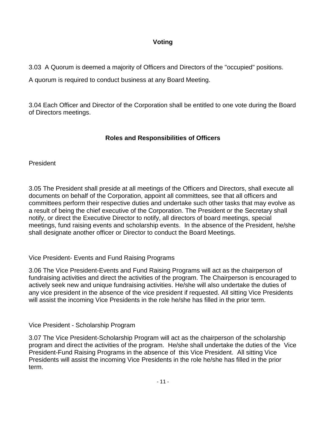#### **Voting**

<span id="page-10-0"></span>3.03 A Quorum is deemed a majority of Officers and Directors of the "occupied" positions.

A quorum is required to conduct business at any Board Meeting.

3.04 Each Officer and Director of the Corporation shall be entitled to one vote during the Board of Directors meetings.

#### **Roles and Responsibilities of Officers**

<span id="page-10-2"></span><span id="page-10-1"></span>President

3.05 The President shall preside at all meetings of the Officers and Directors, shall execute all documents on behalf of the Corporation, appoint all committees, see that all officers and committees perform their respective duties and undertake such other tasks that may evolve as a result of being the chief executive of the Corporation. The President or the Secretary shall notify, or direct the Executive Director to notify, all directors of board meetings, special meetings, fund raising events and scholarship events. In the absence of the President, he/she shall designate another officer or Director to conduct the Board Meetings.

<span id="page-10-3"></span>Vice President- Events and Fund Raising Programs

3.06 The Vice President-Events and Fund Raising Programs will act as the chairperson of fundraising activities and direct the activities of the program. The Chairperson is encouraged to actively seek new and unique fundraising activities. He/she will also undertake the duties of any vice president in the absence of the vice president if requested. All sitting Vice Presidents will assist the incoming Vice Presidents in the role he/she has filled in the prior term.

<span id="page-10-4"></span>Vice President - Scholarship Program

3.07 The Vice President-Scholarship Program will act as the chairperson of the scholarship program and direct the activities of the program. He/she shall undertake the duties of the Vice President-Fund Raising Programs in the absence of this Vice President. All sitting Vice Presidents will assist the incoming Vice Presidents in the role he/she has filled in the prior term.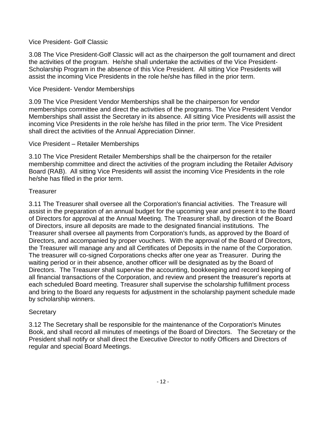#### <span id="page-11-0"></span>Vice President- Golf Classic

3.08 The Vice President-Golf Classic will act as the chairperson the golf tournament and direct the activities of the program. He/she shall undertake the activities of the Vice President-Scholarship Program in the absence of this Vice President. All sitting Vice Presidents will assist the incoming Vice Presidents in the role he/she has filled in the prior term.

#### <span id="page-11-1"></span>Vice President- Vendor Memberships

3.09 The Vice President Vendor Memberships shall be the chairperson for vendor memberships committee and direct the activities of the programs. The Vice President Vendor Memberships shall assist the Secretary in its absence. All sitting Vice Presidents will assist the incoming Vice Presidents in the role he/she has filled in the prior term. The Vice President shall direct the activities of the Annual Appreciation Dinner.

#### <span id="page-11-2"></span>Vice President – Retailer Memberships

3.10 The Vice President Retailer Memberships shall be the chairperson for the retailer membership committee and direct the activities of the program including the Retailer Advisory Board (RAB). All sitting Vice Presidents will assist the incoming Vice Presidents in the role he/she has filled in the prior term.

#### <span id="page-11-3"></span>**Treasurer**

3.11 The Treasurer shall oversee all the Corporation's financial activities. The Treasure will assist in the preparation of an annual budget for the upcoming year and present it to the Board of Directors for approval at the Annual Meeting. The Treasurer shall, by direction of the Board of Directors, insure all deposits are made to the designated financial institutions. The Treasurer shall oversee all payments from Corporation's funds, as approved by the Board of Directors, and accompanied by proper vouchers. With the approval of the Board of Directors, the Treasurer will manage any and all Certificates of Deposits in the name of the Corporation. The treasurer will co-signed Corporations checks after one year as Treasurer. During the waiting period or in their absence, another officer will be designated as by the Board of Directors. The Treasurer shall supervise the accounting, bookkeeping and record keeping of all financial transactions of the Corporation, and review and present the treasurer's reports at each scheduled Board meeting. Treasurer shall supervise the scholarship fulfillment process and bring to the Board any requests for adjustment in the scholarship payment schedule made by scholarship winners.

#### <span id="page-11-4"></span>**Secretary**

3.12 The Secretary shall be responsible for the maintenance of the Corporation's Minutes Book, and shall record all minutes of meetings of the Board of Directors. The Secretary or the President shall notify or shall direct the Executive Director to notify Officers and Directors of regular and special Board Meetings.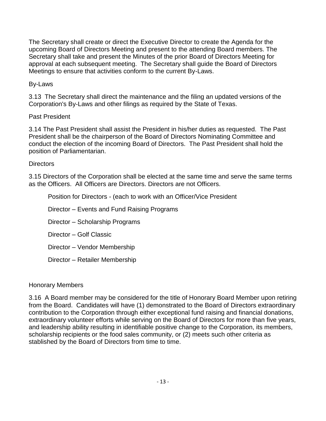The Secretary shall create or direct the Executive Director to create the Agenda for the upcoming Board of Directors Meeting and present to the attending Board members. The Secretary shall take and present the Minutes of the prior Board of Directors Meeting for approval at each subsequent meeting. The Secretary shall guide the Board of Directors Meetings to ensure that activities conform to the current By-Laws.

#### By-Laws

3.13 The Secretary shall direct the maintenance and the filing an updated versions of the Corporation's By-Laws and other filings as required by the State of Texas.

#### <span id="page-12-0"></span>Past President

3.14 The Past President shall assist the President in his/her duties as requested. The Past President shall be the chairperson of the Board of Directors Nominating Committee and conduct the election of the incoming Board of Directors. The Past President shall hold the position of Parliamentarian.

#### <span id="page-12-1"></span>**Directors**

3.15 Directors of the Corporation shall be elected at the same time and serve the same terms as the Officers. All Officers are Directors. Directors are not Officers.

Position for Directors - (each to work with an Officer/Vice President

Director – Events and Fund Raising Programs

Director – Scholarship Programs

Director – Golf Classic

Director – Vendor Membership

Director – Retailer Membership

#### <span id="page-12-2"></span>Honorary Members

3.16 A Board member may be considered for the title of Honorary Board Member upon retiring from the Board. Candidates will have (1) demonstrated to the Board of Directors extraordinary contribution to the Corporation through either exceptional fund raising and financial donations, extraordinary volunteer efforts while serving on the Board of Directors for more than five years, and leadership ability resulting in identifiable positive change to the Corporation, its members, scholarship recipients or the food sales community, or (2) meets such other criteria as stablished by the Board of Directors from time to time.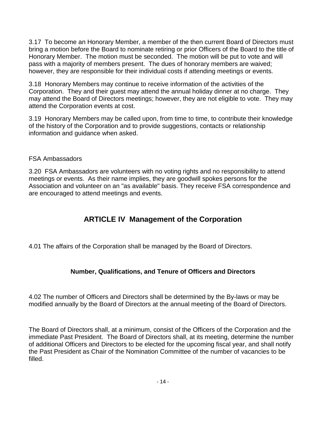3.17 To become an Honorary Member, a member of the then current Board of Directors must bring a motion before the Board to nominate retiring or prior Officers of the Board to the title of Honorary Member. The motion must be seconded. The motion will be put to vote and will pass with a majority of members present. The dues of honorary members are waived; however, they are responsible for their individual costs if attending meetings or events.

3.18 Honorary Members may continue to receive information of the activities of the Corporation. They and their guest may attend the annual holiday dinner at no charge. They may attend the Board of Directors meetings; however, they are not eligible to vote. They may attend the Corporation events at cost.

3.19 Honorary Members may be called upon, from time to time, to contribute their knowledge of the history of the Corporation and to provide suggestions, contacts or relationship information and guidance when asked.

#### <span id="page-13-0"></span>FSA Ambassadors

3.20 FSA Ambassadors are volunteers with no voting rights and no responsibility to attend meetings or events. As their name implies, they are goodwill spokes persons for the Association and volunteer on an "as available" basis. They receive FSA correspondence and are encouraged to attend meetings and events.

### **ARTICLE IV Management of the Corporation**

<span id="page-13-2"></span><span id="page-13-1"></span>4.01 The affairs of the Corporation shall be managed by the Board of Directors.

#### **Number, Qualifications, and Tenure of Officers and Directors**

4.02 The number of Officers and Directors shall be determined by the By-laws or may be modified annually by the Board of Directors at the annual meeting of the Board of Directors.

The Board of Directors shall, at a minimum, consist of the Officers of the Corporation and the immediate Past President. The Board of Directors shall, at its meeting, determine the number of additional Officers and Directors to be elected for the upcoming fiscal year, and shall notify the Past President as Chair of the Nomination Committee of the number of vacancies to be filled.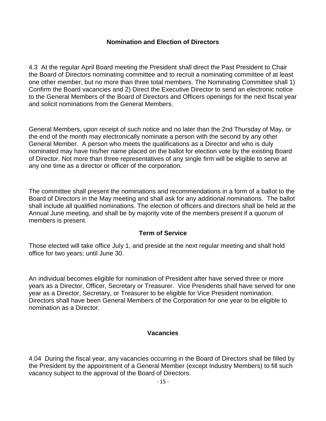#### **Nomination and Election of Directors**

<span id="page-14-0"></span>4.3 At the regular April Board meeting the President shall direct the Past President to Chair the Board of Directors nominating committee and to recruit a nominating committee of at least one other member, but no more than three total members. The Nominating Committee shall 1) Confirm the Board vacancies and 2) Direct the Executive Director to send an electronic notice to the General Members of the Board of Directors and Officers openings for the next fiscal year and solicit nominations from the General Members.

General Members, upon receipt of such notice and no later than the 2nd Thursday of May, or the end of the month may electronically nominate a person with the second by any other General Member. A person who meets the qualifications as a Director and who is duly nominated may have his/her name placed on the ballot for election vote by the existing Board of Director. Not more than three representatives of any single firm will be eligible to serve at any one time as a director or officer of the corporation.

The committee shall present the nominations and recommendations in a form of a ballot to the Board of Directors in the May meeting and shall ask for any additional nominations. The ballot shall include all qualified nominations. The election of officers and directors shall be held at the Annual June meeting, and shall be by majority vote of the members present if a quorum of members is present.

#### **Term of Service**

<span id="page-14-1"></span>Those elected will take office July 1, and preside at the next regular meeting and shall hold office for two years; until June 30.

An individual becomes eligible for nomination of President after have served three or more years as a Director, Officer, Secretary or Treasurer. Vice Presidents shall have served for one year as a Director, Secretary, or Treasurer to be eligible for Vice President nomination. Directors shall have been General Members of the Corporation for one year to be eligible to nomination as a Director.

#### **Vacancies**

<span id="page-14-2"></span>4.04 During the fiscal year, any vacancies occurring in the Board of Directors shall be filled by the President by the appointment of a General Member (except Industry Members) to fill such vacancy subject to the approval of the Board of Directors.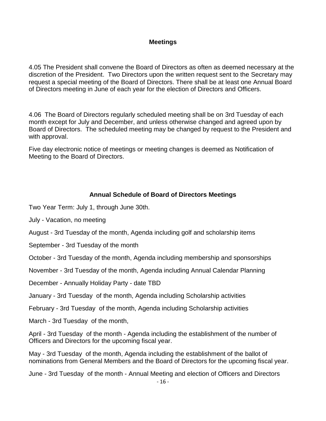#### **Meetings**

<span id="page-15-0"></span>4.05 The President shall convene the Board of Directors as often as deemed necessary at the discretion of the President. Two Directors upon the written request sent to the Secretary may request a special meeting of the Board of Directors. There shall be at least one Annual Board of Directors meeting in June of each year for the election of Directors and Officers.

4.06 The Board of Directors regularly scheduled meeting shall be on 3rd Tuesday of each month except for July and December, and unless otherwise changed and agreed upon by Board of Directors. The scheduled meeting may be changed by request to the President and with approval.

Five day electronic notice of meetings or meeting changes is deemed as Notification of Meeting to the Board of Directors.

#### **Annual Schedule of Board of Directors Meetings**

<span id="page-15-1"></span>Two Year Term: July 1, through June 30th.

July - Vacation, no meeting

August - 3rd Tuesday of the month, Agenda including golf and scholarship items

September - 3rd Tuesday of the month

October - 3rd Tuesday of the month, Agenda including membership and sponsorships

November - 3rd Tuesday of the month, Agenda including Annual Calendar Planning

December - Annually Holiday Party - date TBD

January - 3rd Tuesday of the month, Agenda including Scholarship activities

February - 3rd Tuesday of the month, Agenda including Scholarship activities

March - 3rd Tuesday of the month,

April - 3rd Tuesday of the month - Agenda including the establishment of the number of Officers and Directors for the upcoming fiscal year.

May - 3rd Tuesday of the month, Agenda including the establishment of the ballot of nominations from General Members and the Board of Directors for the upcoming fiscal year.

June - 3rd Tuesday of the month - Annual Meeting and election of Officers and Directors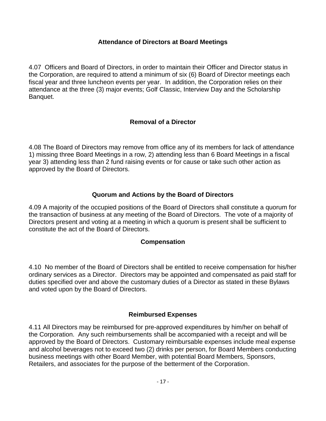#### **Attendance of Directors at Board Meetings**

<span id="page-16-0"></span>4.07 Officers and Board of Directors, in order to maintain their Officer and Director status in the Corporation, are required to attend a minimum of six (6) Board of Director meetings each fiscal year and three luncheon events per year. In addition, the Corporation relies on their attendance at the three (3) major events; Golf Classic, Interview Day and the Scholarship Banquet.

#### **Removal of a Director**

<span id="page-16-1"></span>4.08 The Board of Directors may remove from office any of its members for lack of attendance 1) missing three Board Meetings in a row, 2) attending less than 6 Board Meetings in a fiscal year 3) attending less than 2 fund raising events or for cause or take such other action as approved by the Board of Directors.

#### **Quorum and Actions by the Board of Directors**

<span id="page-16-2"></span>4.09 A majority of the occupied positions of the Board of Directors shall constitute a quorum for the transaction of business at any meeting of the Board of Directors. The vote of a majority of Directors present and voting at a meeting in which a quorum is present shall be sufficient to constitute the act of the Board of Directors.

#### **Compensation**

<span id="page-16-3"></span>4.10 No member of the Board of Directors shall be entitled to receive compensation for his/her ordinary services as a Director. Directors may be appointed and compensated as paid staff for duties specified over and above the customary duties of a Director as stated in these Bylaws and voted upon by the Board of Directors.

#### **Reimbursed Expenses**

<span id="page-16-4"></span>4.11 All Directors may be reimbursed for pre-approved expenditures by him/her on behalf of the Corporation. Any such reimbursements shall be accompanied with a receipt and will be approved by the Board of Directors. Customary reimbursable expenses include meal expense and alcohol beverages not to exceed two (2) drinks per person, for Board Members conducting business meetings with other Board Member, with potential Board Members, Sponsors, Retailers, and associates for the purpose of the betterment of the Corporation.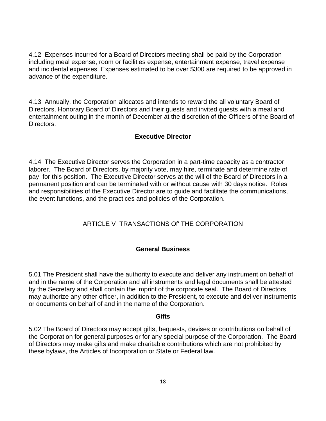4.12 Expenses incurred for a Board of Directors meeting shall be paid by the Corporation including meal expense, room or facilities expense, entertainment expense, travel expense and incidental expenses. Expenses estimated to be over \$300 are required to be approved in advance of the expenditure.

4.13 Annually, the Corporation allocates and intends to reward the all voluntary Board of Directors, Honorary Board of Directors and their guests and invited guests with a meal and entertainment outing in the month of December at the discretion of the Officers of the Board of Directors.

#### **Executive Director**

<span id="page-17-0"></span>4.14 The Executive Director serves the Corporation in a part-time capacity as a contractor laborer. The Board of Directors, by majority vote, may hire, terminate and determine rate of pay for this position. The Executive Director serves at the will of the Board of Directors in a permanent position and can be terminated with or without cause with 30 days notice. Roles and responsibilities of the Executive Director are to guide and facilitate the communications, the event functions, and the practices and policies of the Corporation.

#### ARTICLE V TRANSACTIONS Of' THE CORPORATION

#### **General Business**

<span id="page-17-2"></span><span id="page-17-1"></span>5.01 The President shall have the authority to execute and deliver any instrument on behalf of and in the name of the Corporation and all instruments and legal documents shall be attested by the Secretary and shall contain the imprint of the corporate seal. The Board of Directors may authorize any other officer, in addition to the President, to execute and deliver instruments or documents on behalf of and in the name of the Corporation.

#### **Gifts**

<span id="page-17-3"></span>5.02 The Board of Directors may accept gifts, bequests, devises or contributions on behalf of the Corporation for general purposes or for any special purpose of the Corporation. The Board of Directors may make gifts and make charitable contributions which are not prohibited by these bylaws, the Articles of Incorporation or State or Federal law.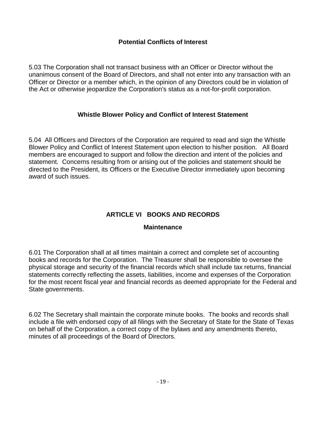#### **Potential Conflicts of Interest**

<span id="page-18-0"></span>5.03 The Corporation shall not transact business with an Officer or Director without the unanimous consent of the Board of Directors, and shall not enter into any transaction with an Officer or Director or a member which, in the opinion of any Directors could be in violation of the Act or otherwise jeopardize the Corporation's status as a not-for-profit corporation.

#### **Whistle Blower Policy and Conflict of Interest Statement**

<span id="page-18-1"></span>5.04 All Officers and Directors of the Corporation are required to read and sign the Whistle Blower Policy and Conflict of Interest Statement upon election to his/her position. All Board members are encouraged to support and follow the direction and intent of the policies and statement. Concerns resulting from or arising out of the policies and statement should be directed to the President, its Officers or the Executive Director immediately upon becoming award of such issues.

#### **ARTICLE VI BOOKS AND RECORDS**

#### **Maintenance**

<span id="page-18-3"></span><span id="page-18-2"></span>6.01 The Corporation shall at all times maintain a correct and complete set of accounting books and records for the Corporation. The Treasurer shall be responsible to oversee the physical storage and security of the financial records which shall include tax returns, financial statements correctly reflecting the assets, liabilities, income and expenses of the Corporation for the most recent fiscal year and financial records as deemed appropriate for the Federal and State governments.

6.02 The Secretary shall maintain the corporate minute books. The books and records shall include a file with endorsed copy of all filings with the Secretary of State for the State of Texas on behalf of the Corporation, a correct copy of the bylaws and any amendments thereto, minutes of all proceedings of the Board of Directors.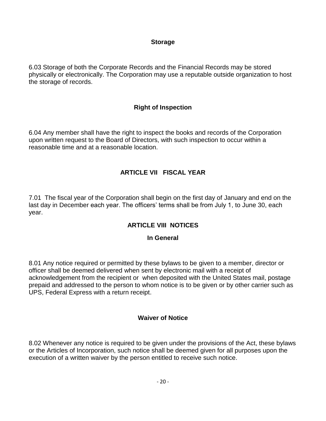#### **Storage**

<span id="page-19-0"></span>6.03 Storage of both the Corporate Records and the Financial Records may be stored physically or electronically. The Corporation may use a reputable outside organization to host the storage of records.

#### **Right of Inspection**

<span id="page-19-1"></span>6.04 Any member shall have the right to inspect the books and records of the Corporation upon written request to the Board of Directors, with such inspection to occur within a reasonable time and at a reasonable location.

#### **ARTICLE VII FISCAL YEAR**

<span id="page-19-3"></span><span id="page-19-2"></span>7.01 The fiscal year of the Corporation shall begin on the first day of January and end on the last day in December each year. The officers' terms shall be from July 1, to June 30, each year.

#### **ARTICLE VIII NOTICES**

#### **In General**

8.01 Any notice required or permitted by these bylaws to be given to a member, director or officer shall be deemed delivered when sent by electronic mail with a receipt of acknowledgement from the recipient or when deposited with the United States mail, postage prepaid and addressed to the person to whom notice is to be given or by other carrier such as UPS, Federal Express with a return receipt.

#### **Waiver of Notice**

<span id="page-19-4"></span>8.02 Whenever any notice is required to be given under the provisions of the Act, these bylaws or the Articles of Incorporation, such notice shall be deemed given for all purposes upon the execution of a written waiver by the person entitled to receive such notice.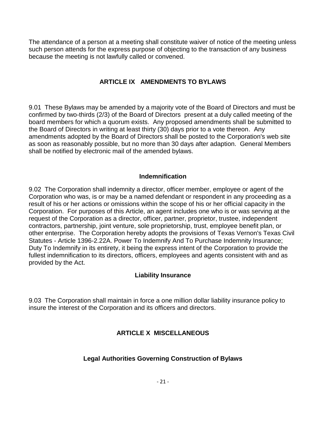The attendance of a person at a meeting shall constitute waiver of notice of the meeting unless such person attends for the express purpose of objecting to the transaction of any business because the meeting is not lawfully called or convened.

#### **ARTICLE IX AMENDMENTS TO BYLAWS**

<span id="page-20-0"></span>9.01 These Bylaws may be amended by a majority vote of the Board of Directors and must be confirmed by two-thirds (2/3) of the Board of Directors present at a duly called meeting of the board members for which a quorum exists. Any proposed amendments shall be submitted to the Board of Directors in writing at least thirty (30) days prior to a vote thereon. Any amendments adopted by the Board of Directors shall be posted to the Corporation's web site as soon as reasonably possible, but no more than 30 days after adaption. General Members shall be notified by electronic mail of the amended bylaws.

#### **Indemnification**

<span id="page-20-1"></span>9.02 The Corporation shall indemnity a director, officer member, employee or agent of the Corporation who was, is or may be a named defendant or respondent in any proceeding as a result of his or her actions or omissions within the scope of his or her official capacity in the Corporation. For purposes of this Article, an agent includes one who is or was serving at the request of the Corporation as a director, officer, partner, proprietor, trustee, independent contractors, partnership, joint venture, sole proprietorship, trust, employee benefit plan, or other enterprise. The Corporation hereby adopts the provisions of Texas Vernon's Texas Civil Statutes - Article 1396-2.22A. Power To Indemnify And To Purchase Indemnity Insurance; Duty To Indemnify in its entirety, it being the express intent of the Corporation to provide the fullest indemnification to its directors, officers, employees and agents consistent with and as provided by the Act.

#### **Liability Insurance**

<span id="page-20-4"></span><span id="page-20-3"></span><span id="page-20-2"></span>9.03 The Corporation shall maintain in force a one million dollar liability insurance policy to insure the interest of the Corporation and its officers and directors.

#### **ARTICLE X MISCELLANEOUS**

#### **Legal Authorities Governing Construction of Bylaws**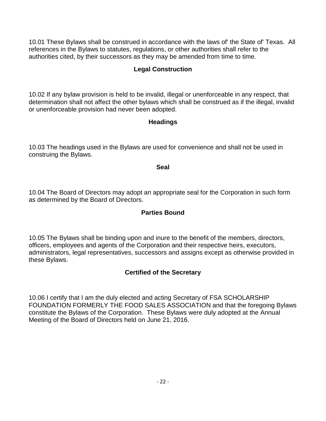<span id="page-21-0"></span>10.01 These Bylaws shall be construed in accordance with the laws of' the State of' Texas. All references in the Bylaws to statutes, regulations, or other authorities shall refer to the authorities cited, by their successors as they may be amended from time to time.

#### **Legal Construction**

<span id="page-21-1"></span>10.02 If any bylaw provision is held to be invalid, illegal or unenforceable in any respect, that determination shall not affect the other bylaws which shall be construed as if the illegal, invalid or unenforceable provision had never been adopted.

#### **Headings**

<span id="page-21-2"></span>10.03 The headings used in the Bylaws are used for convenience and shall not be used in construing the Bylaws.

#### **Seal**

<span id="page-21-3"></span>10.04 The Board of Directors may adopt an appropriate seal for the Corporation in such form as determined by the Board of Directors.

#### **Parties Bound**

10.05 The Bylaws shall be binding upon and inure to the benefit of the members, directors, officers, employees and agents of the Corporation and their respective heirs, executors, administrators, legal representatives, successors and assigns except as otherwise provided in these Bylaws.

#### **Certified of the Secretary**

<span id="page-21-4"></span>10.06 I certify that I am the duly elected and acting Secretary of FSA SCHOLARSHIP FOUNDATION FORMERLY THE FOOD SALES ASSOCIATION and that the foregoing Bylaws constitute the Bylaws of the Corporation. These Bylaws were duly adopted at the Annual Meeting of the Board of Directors held on June 21, 2016.